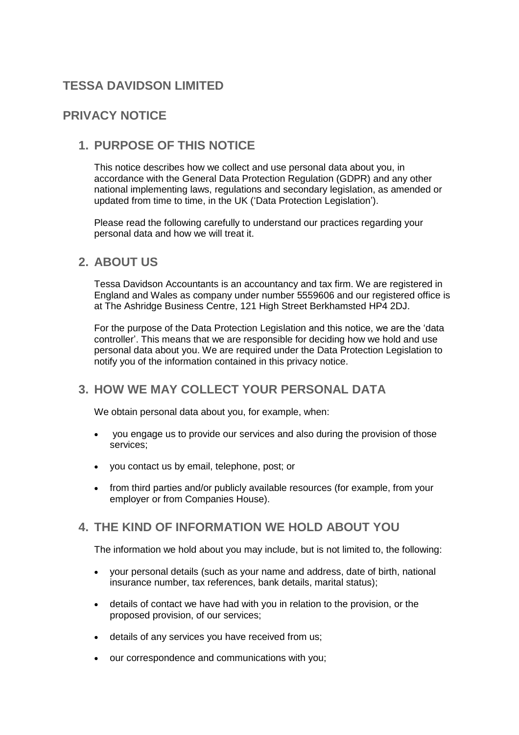# **TESSA DAVIDSON LIMITED**

# **PRIVACY NOTICE**

# **1. PURPOSE OF THIS NOTICE**

This notice describes how we collect and use personal data about you, in accordance with the General Data Protection Regulation (GDPR) and any other national implementing laws, regulations and secondary legislation, as amended or updated from time to time, in the UK ('Data Protection Legislation').

Please read the following carefully to understand our practices regarding your personal data and how we will treat it.

## **2. ABOUT US**

Tessa Davidson Accountants is an accountancy and tax firm. We are registered in England and Wales as company under number 5559606 and our registered office is at The Ashridge Business Centre, 121 High Street Berkhamsted HP4 2DJ.

For the purpose of the Data Protection Legislation and this notice, we are the 'data controller'. This means that we are responsible for deciding how we hold and use personal data about you. We are required under the Data Protection Legislation to notify you of the information contained in this privacy notice.

# **3. HOW WE MAY COLLECT YOUR PERSONAL DATA**

We obtain personal data about you, for example, when:

- you engage us to provide our services and also during the provision of those services;
- you contact us by email, telephone, post; or
- from third parties and/or publicly available resources (for example, from your employer or from Companies House).

## **4. THE KIND OF INFORMATION WE HOLD ABOUT YOU**

The information we hold about you may include, but is not limited to, the following:

- your personal details (such as your name and address, date of birth, national insurance number, tax references, bank details, marital status);
- details of contact we have had with you in relation to the provision, or the proposed provision, of our services;
- details of any services you have received from us;
- our correspondence and communications with you;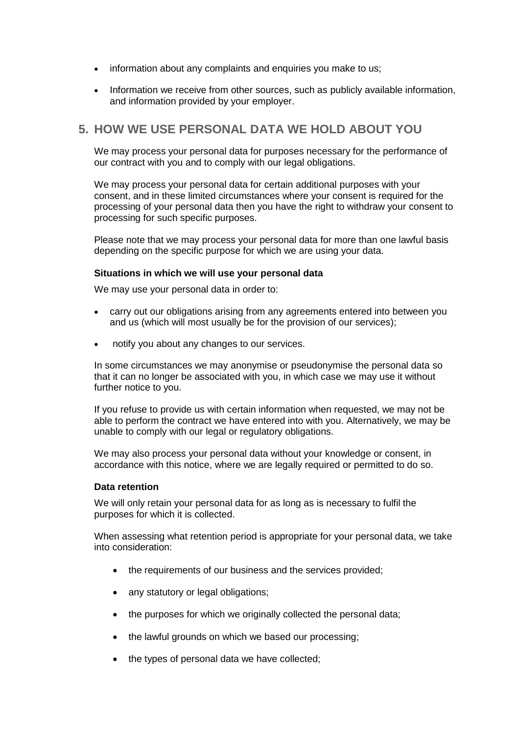- information about any complaints and enquiries you make to us;
- Information we receive from other sources, such as publicly available information, and information provided by your employer.

## **5. HOW WE USE PERSONAL DATA WE HOLD ABOUT YOU**

We may process your personal data for purposes necessary for the performance of our contract with you and to comply with our legal obligations.

We may process your personal data for certain additional purposes with your consent, and in these limited circumstances where your consent is required for the processing of your personal data then you have the right to withdraw your consent to processing for such specific purposes.

Please note that we may process your personal data for more than one lawful basis depending on the specific purpose for which we are using your data.

#### **Situations in which we will use your personal data**

We may use your personal data in order to:

- carry out our obligations arising from any agreements entered into between you and us (which will most usually be for the provision of our services);
- notify you about any changes to our services.

In some circumstances we may anonymise or pseudonymise the personal data so that it can no longer be associated with you, in which case we may use it without further notice to you.

If you refuse to provide us with certain information when requested, we may not be able to perform the contract we have entered into with you. Alternatively, we may be unable to comply with our legal or regulatory obligations.

We may also process your personal data without your knowledge or consent, in accordance with this notice, where we are legally required or permitted to do so.

#### **Data retention**

We will only retain your personal data for as long as is necessary to fulfil the purposes for which it is collected.

When assessing what retention period is appropriate for your personal data, we take into consideration:

- the requirements of our business and the services provided;
- any statutory or legal obligations;
- the purposes for which we originally collected the personal data;
- the lawful grounds on which we based our processing;
- the types of personal data we have collected;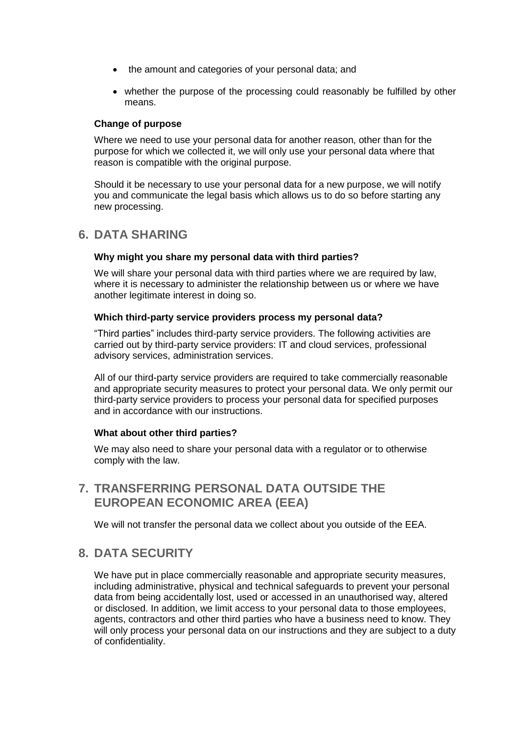- the amount and categories of your personal data; and
- whether the purpose of the processing could reasonably be fulfilled by other means.

#### **Change of purpose**

Where we need to use your personal data for another reason, other than for the purpose for which we collected it, we will only use your personal data where that reason is compatible with the original purpose.

Should it be necessary to use your personal data for a new purpose, we will notify you and communicate the legal basis which allows us to do so before starting any new processing.

## **6. DATA SHARING**

#### **Why might you share my personal data with third parties?**

We will share your personal data with third parties where we are required by law, where it is necessary to administer the relationship between us or where we have another legitimate interest in doing so.

#### **Which third-party service providers process my personal data?**

"Third parties" includes third-party service providers. The following activities are carried out by third-party service providers: IT and cloud services, professional advisory services, administration services.

All of our third-party service providers are required to take commercially reasonable and appropriate security measures to protect your personal data. We only permit our third-party service providers to process your personal data for specified purposes and in accordance with our instructions.

#### **What about other third parties?**

We may also need to share your personal data with a regulator or to otherwise comply with the law.

**7. TRANSFERRING PERSONAL DATA OUTSIDE THE EUROPEAN ECONOMIC AREA (EEA)**

We will not transfer the personal data we collect about you outside of the EEA.

### **8. DATA SECURITY**

We have put in place commercially reasonable and appropriate security measures, including administrative, physical and technical safeguards to prevent your personal data from being accidentally lost, used or accessed in an unauthorised way, altered or disclosed. In addition, we limit access to your personal data to those employees, agents, contractors and other third parties who have a business need to know. They will only process your personal data on our instructions and they are subject to a duty of confidentiality.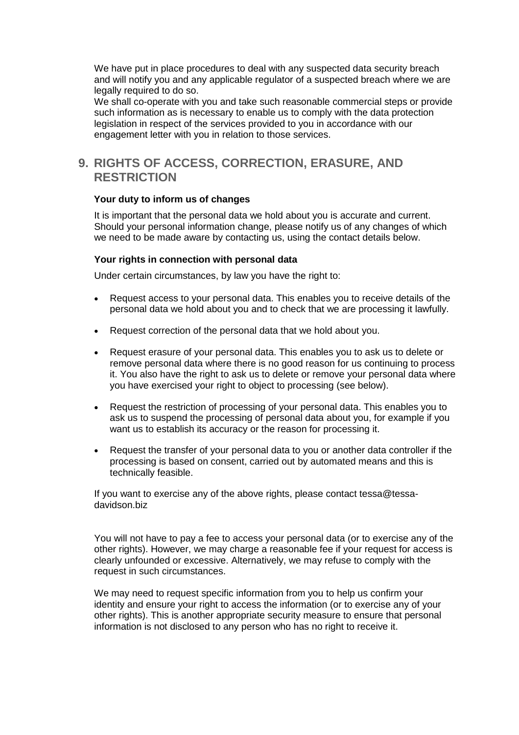We have put in place procedures to deal with any suspected data security breach and will notify you and any applicable regulator of a suspected breach where we are legally required to do so.

We shall co-operate with you and take such reasonable commercial steps or provide such information as is necessary to enable us to comply with the data protection legislation in respect of the services provided to you in accordance with our engagement letter with you in relation to those services.

## **9. RIGHTS OF ACCESS, CORRECTION, ERASURE, AND RESTRICTION**

#### **Your duty to inform us of changes**

It is important that the personal data we hold about you is accurate and current. Should your personal information change, please notify us of any changes of which we need to be made aware by contacting us, using the contact details below.

#### **Your rights in connection with personal data**

Under certain circumstances, by law you have the right to:

- Request access to your personal data. This enables you to receive details of the personal data we hold about you and to check that we are processing it lawfully.
- Request correction of the personal data that we hold about you.
- Request erasure of your personal data. This enables you to ask us to delete or remove personal data where there is no good reason for us continuing to process it. You also have the right to ask us to delete or remove your personal data where you have exercised your right to object to processing (see below).
- Request the restriction of processing of your personal data. This enables you to ask us to suspend the processing of personal data about you, for example if you want us to establish its accuracy or the reason for processing it.
- Request the transfer of your personal data to you or another data controller if the processing is based on consent, carried out by automated means and this is technically feasible.

If you want to exercise any of the above rights, please contact tessa@tessadavidson.biz

You will not have to pay a fee to access your personal data (or to exercise any of the other rights). However, we may charge a reasonable fee if your request for access is clearly unfounded or excessive. Alternatively, we may refuse to comply with the request in such circumstances.

We may need to request specific information from you to help us confirm your identity and ensure your right to access the information (or to exercise any of your other rights). This is another appropriate security measure to ensure that personal information is not disclosed to any person who has no right to receive it.